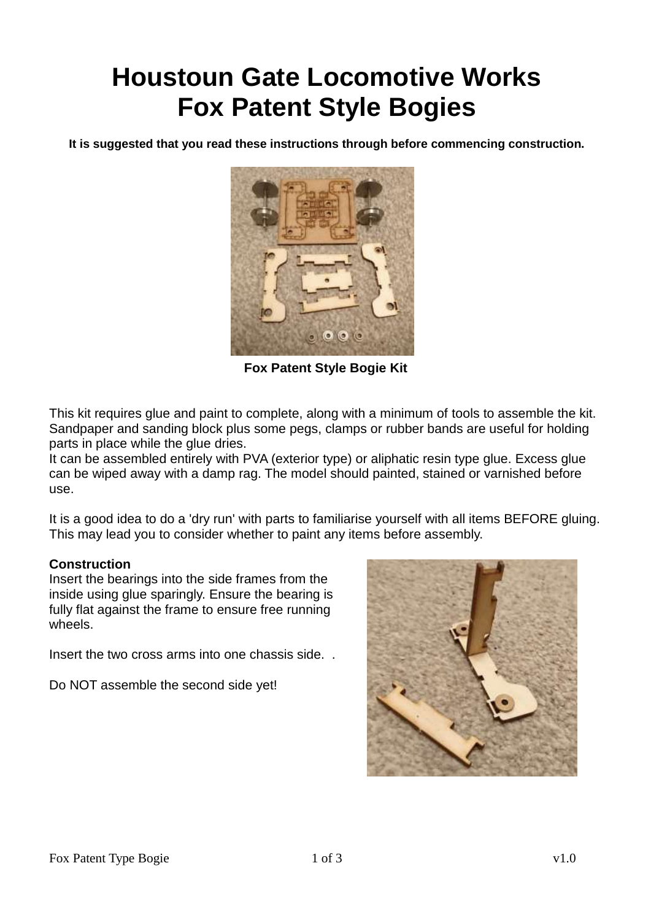## **Houstoun Gate Locomotive Works Fox Patent Style Bogies**

**It is suggested that you read these instructions through before commencing construction.**



**Fox Patent Style Bogie Kit**

This kit requires glue and paint to complete, along with a minimum of tools to assemble the kit. Sandpaper and sanding block plus some pegs, clamps or rubber bands are useful for holding parts in place while the glue dries.

It can be assembled entirely with PVA (exterior type) or aliphatic resin type glue. Excess glue can be wiped away with a damp rag. The model should painted, stained or varnished before use.

It is a good idea to do a 'dry run' with parts to familiarise yourself with all items BEFORE gluing. This may lead you to consider whether to paint any items before assembly.

## **Construction**

Insert the bearings into the side frames from the inside using glue sparingly. Ensure the bearing is fully flat against the frame to ensure free running wheels.

Insert the two cross arms into one chassis side. .

Do NOT assemble the second side yet!

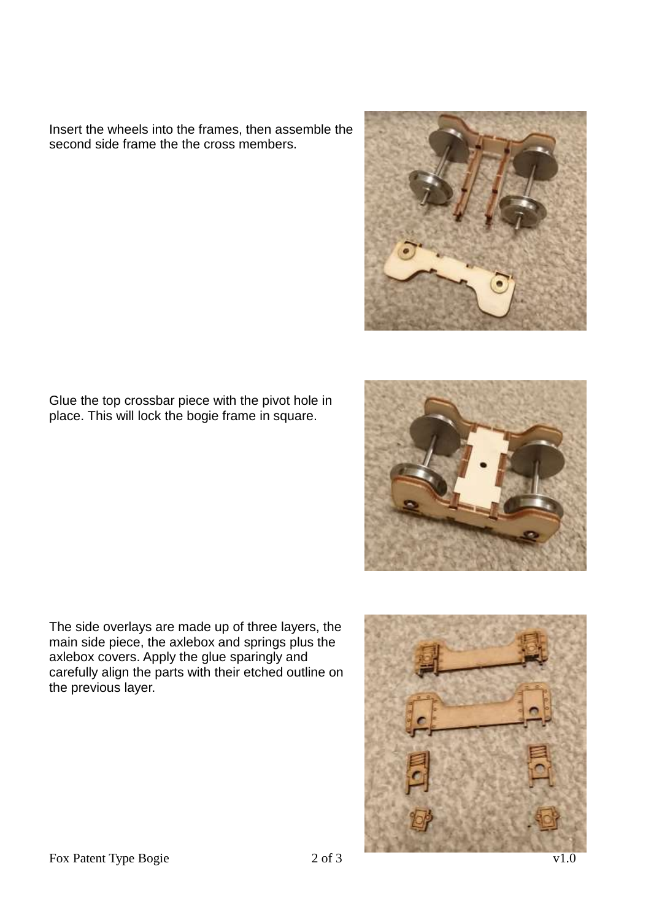Insert the wheels into the frames, then assemble the second side frame the the cross members.

Glue the top crossbar piece with the pivot hole in place. This will lock the bogie frame in square.

The side overlays are made up of three layers, the main side piece, the axlebox and springs plus the axlebox covers. Apply the glue sparingly and carefully align the parts with their etched outline on the previous layer.